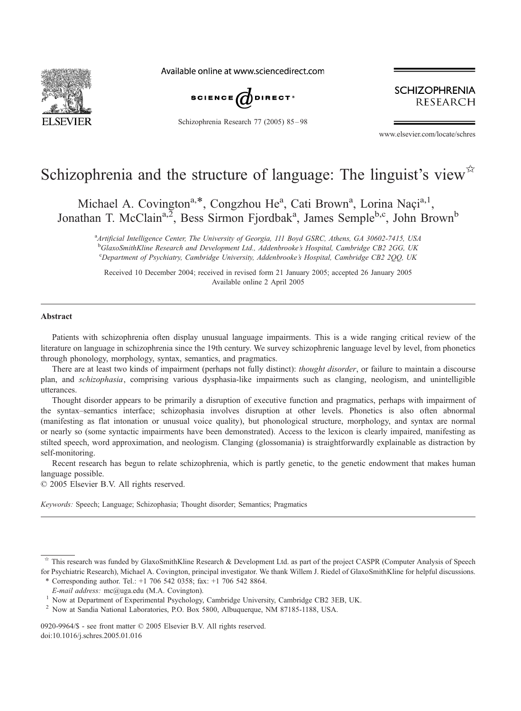

Available online at www.sciencedirect.com



Schizophrenia Research 77 (2005) 85 – 98

**SCHIZOPHRENIA RESEARCH** 

www.elsevier.com/locate/schres

# Schizophrenia and the structure of language: The linguist's view $\vec{r}$

Michael A. Covington<sup>a,\*</sup>, Congzhou He<sup>a</sup>, Cati Brown<sup>a</sup>, Lorina Naçi<sup>a,1</sup>, Jonathan T. McClain<sup>a, 2</sup>, Bess Sirmon Fjordbak<sup>a</sup>, James Semple<sup>b,c</sup>, John Brown<sup>b</sup>

<sup>a</sup> Artificial Intelligence Center, The University of Georgia, 111 Boyd GSRC, Athens, GA 30602-7415, USA <sup>b</sup>GlaxoSmithKline Research and Development Ltd., Addenbrooke's Hospital, Cambridge CB2 2GG, UK <sup>c</sup>Department of Psychiatry, Cambridge University, Addenbrooke's Hospital, Cambridge CB2 2QQ, UK

Received 10 December 2004; received in revised form 21 January 2005; accepted 26 January 2005 Available online 2 April 2005

#### Abstract

Patients with schizophrenia often display unusual language impairments. This is a wide ranging critical review of the literature on language in schizophrenia since the 19th century. We survey schizophrenic language level by level, from phonetics through phonology, morphology, syntax, semantics, and pragmatics.

There are at least two kinds of impairment (perhaps not fully distinct): thought disorder, or failure to maintain a discourse plan, and schizophasia, comprising various dysphasia-like impairments such as clanging, neologism, and unintelligible utterances.

Thought disorder appears to be primarily a disruption of executive function and pragmatics, perhaps with impairment of the syntax–semantics interface; schizophasia involves disruption at other levels. Phonetics is also often abnormal (manifesting as flat intonation or unusual voice quality), but phonological structure, morphology, and syntax are normal or nearly so (some syntactic impairments have been demonstrated). Access to the lexicon is clearly impaired, manifesting as stilted speech, word approximation, and neologism. Clanging (glossomania) is straightforwardly explainable as distraction by self-monitoring.

Recent research has begun to relate schizophrenia, which is partly genetic, to the genetic endowment that makes human language possible.

 $© 2005 Elsevier B.V. All rights reserved.$ 

Keywords: Speech; Language; Schizophasia; Thought disorder; Semantics; Pragmatics

0920-9964/\$ - see front matter  $\odot$  2005 Elsevier B.V. All rights reserved. doi:10.1016/j.schres.2005.01.016

This research was funded by GlaxoSmithKline Research & Development Ltd. as part of the project CASPR (Computer Analysis of Speech for Psychiatric Research), Michael A. Covington, principal investigator. We thank Willem J. Riedel of GlaxoSmithKline for helpful discussions.

<sup>\*</sup> Corresponding author. Tel.:  $+1$  706 542 0358; fax:  $+1$  706 542 8864.

E-mail address: mc@uga.edu (M.A. Covington).<br><sup>1</sup> Now at Department of Experimental Psychology, Cambridge University, Cambridge CB2 3EB, UK.

<sup>2</sup> Now at Sandia National Laboratories, P.O. Box 5800, Albuquerque, NM 87185-1188, USA.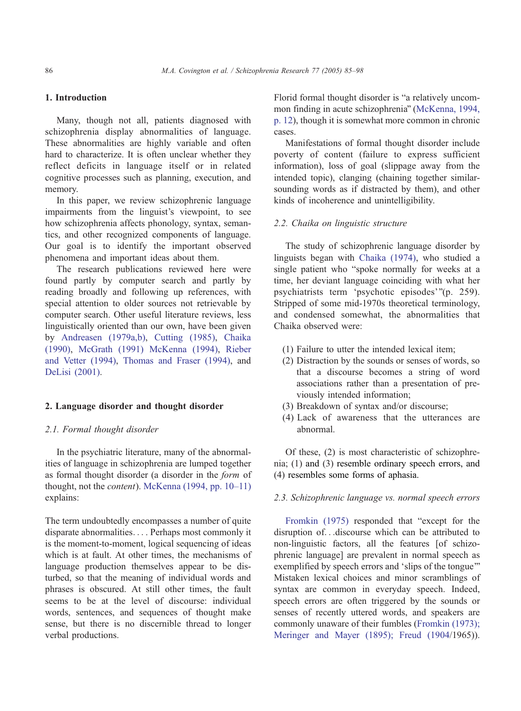# 1. Introduction

Many, though not all, patients diagnosed with schizophrenia display abnormalities of language. These abnormalities are highly variable and often hard to characterize. It is often unclear whether they reflect deficits in language itself or in related cognitive processes such as planning, execution, and memory.

In this paper, we review schizophrenic language impairments from the linguist's viewpoint, to see how schizophrenia affects phonology, syntax, semantics, and other recognized components of language. Our goal is to identify the important observed phenomena and important ideas about them.

The research publications reviewed here were found partly by computer search and partly by reading broadly and following up references, with special attention to older sources not retrievable by computer search. Other useful literature reviews, less linguistically oriented than our own, have been given by [Andreasen \(1979a,b\),](#page-10-0) [Cutting \(1985\),](#page-11-0) [Chaika](#page-11-0) (1990), [McGrath \(1991\) McKenna \(1994\),](#page-12-0) [Rieber](#page-12-0) and Vetter (1994), [Thomas and Fraser \(1994\),](#page-12-0) and [DeLisi \(2001\).](#page-11-0)

#### 2. Language disorder and thought disorder

#### 2.1. Formal thought disorder

In the psychiatric literature, many of the abnormalities of language in schizophrenia are lumped together as formal thought disorder (a disorder in the form of thought, not the *content*). [McKenna \(1994, pp. 10–11\)](#page-12-0) explains:

The term undoubtedly encompasses a number of quite disparate abnormalities... . Perhaps most commonly it is the moment-to-moment, logical sequencing of ideas which is at fault. At other times, the mechanisms of language production themselves appear to be disturbed, so that the meaning of individual words and phrases is obscured. At still other times, the fault seems to be at the level of discourse: individual words, sentences, and sequences of thought make sense, but there is no discernible thread to longer verbal productions.

Florid formal thought disorder is "a relatively uncom-mon finding in acute schizophrenia" ([McKenna, 1994,](#page-12-0) p. 12), though it is somewhat more common in chronic cases.

Manifestations of formal thought disorder include poverty of content (failure to express sufficient information), loss of goal (slippage away from the intended topic), clanging (chaining together similarsounding words as if distracted by them), and other kinds of incoherence and unintelligibility.

## 2.2. Chaika on linguistic structure

The study of schizophrenic language disorder by linguists began with [Chaika \(1974\),](#page-11-0) who studied a single patient who "spoke normally for weeks at a time, her deviant language coinciding with what her psychiatrists term 'psychotic episodes'"(p. 259). Stripped of some mid-1970s theoretical terminology, and condensed somewhat, the abnormalities that Chaika observed were:

- (1) Failure to utter the intended lexical item;
- (2) Distraction by the sounds or senses of words, so that a discourse becomes a string of word associations rather than a presentation of previously intended information;
- (3) Breakdown of syntax and/or discourse;
- (4) Lack of awareness that the utterances are abnormal.

Of these, (2) is most characteristic of schizophrenia; (1) and (3) resemble ordinary speech errors, and (4) resembles some forms of aphasia.

## 2.3. Schizophrenic language vs. normal speech errors

[Fromkin \(1975\)](#page-11-0) responded that "except for the disruption of...discourse which can be attributed to non-linguistic factors, all the features [of schizophrenic language] are prevalent in normal speech as exemplified by speech errors and 'slips of the tongue" Mistaken lexical choices and minor scramblings of syntax are common in everyday speech. Indeed, speech errors are often triggered by the sounds or senses of recently uttered words, and speakers are commonly unaware of their fumbles ([Fromkin \(1973\);](#page-11-0) Meringer and Mayer (1895); Freud (1904/1965)).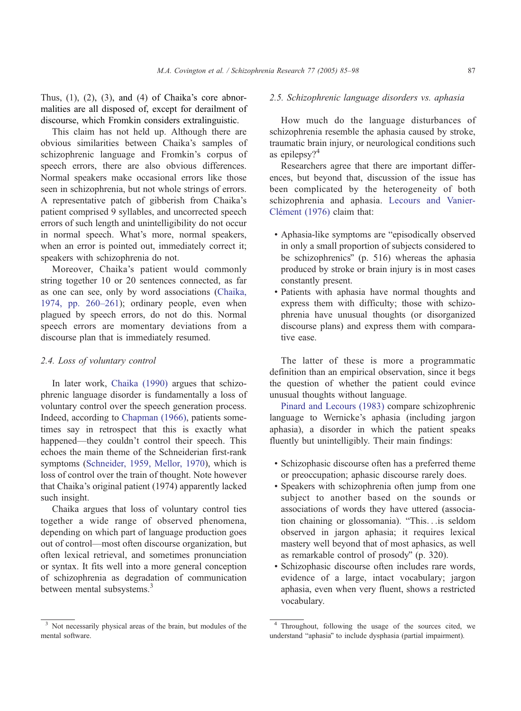Thus,  $(1)$ ,  $(2)$ ,  $(3)$ , and  $(4)$  of Chaika's core abnormalities are all disposed of, except for derailment of discourse, which Fromkin considers extralinguistic.

This claim has not held up. Although there are obvious similarities between Chaika's samples of schizophrenic language and Fromkin's corpus of speech errors, there are also obvious differences. Normal speakers make occasional errors like those seen in schizophrenia, but not whole strings of errors. A representative patch of gibberish from Chaika's patient comprised 9 syllables, and uncorrected speech errors of such length and unintelligibility do not occur in normal speech. What's more, normal speakers, when an error is pointed out, immediately correct it; speakers with schizophrenia do not.

Moreover, Chaika's patient would commonly string together 10 or 20 sentences connected, as far as one can see, only by word associations ([Chaika,](#page-11-0) 1974, pp. 260–261); ordinary people, even when plagued by speech errors, do not do this. Normal speech errors are momentary deviations from a discourse plan that is immediately resumed.

## 2.4. Loss of voluntary control

In later work, [Chaika \(1990\)](#page-11-0) argues that schizophrenic language disorder is fundamentally a loss of voluntary control over the speech generation process. Indeed, according to [Chapman \(1966\),](#page-11-0) patients sometimes say in retrospect that this is exactly what happened—they couldn't control their speech. This echoes the main theme of the Schneiderian first-rank symptoms [\(Schneider, 1959, Mellor, 1970\)](#page-12-0), which is loss of control over the train of thought. Note however that Chaika's original patient (1974) apparently lacked such insight.

Chaika argues that loss of voluntary control ties together a wide range of observed phenomena, depending on which part of language production goes out of control—most often discourse organization, but often lexical retrieval, and sometimes pronunciation or syntax. It fits well into a more general conception of schizophrenia as degradation of communication between mental subsystems.<sup>3</sup>

# 2.5. Schizophrenic language disorders vs. aphasia

How much do the language disturbances of schizophrenia resemble the aphasia caused by stroke, traumatic brain injury, or neurological conditions such as epilepsy?<sup>4</sup>

Researchers agree that there are important differences, but beyond that, discussion of the issue has been complicated by the heterogeneity of both schizophrenia and aphasia. [Lecours and Vanier-](#page-12-0)Clément (1976) claim that:

- . Aphasia-like symptoms are "episodically observed" in only a small proportion of subjects considered to be schizophrenics" (p. 516) whereas the aphasia produced by stroke or brain injury is in most cases constantly present.
- ! Patients with aphasia have normal thoughts and express them with difficulty; those with schizophrenia have unusual thoughts (or disorganized discourse plans) and express them with comparative ease.

The latter of these is more a programmatic definition than an empirical observation, since it begs the question of whether the patient could evince unusual thoughts without language.

[Pinard and Lecours \(1983\)](#page-12-0) compare schizophrenic language to Wernicke's aphasia (including jargon aphasia), a disorder in which the patient speaks fluently but unintelligibly. Their main findings:

- ! Schizophasic discourse often has a preferred theme or preoccupation; aphasic discourse rarely does.
- ! Speakers with schizophrenia often jump from one subject to another based on the sounds or associations of words they have uttered (association chaining or glossomania). "This...is seldom observed in jargon aphasia; it requires lexical mastery well beyond that of most aphasics, as well as remarkable control of prosody" (p. 320).
- ! Schizophasic discourse often includes rare words, evidence of a large, intact vocabulary; jargon aphasia, even when very fluent, shows a restricted vocabulary.

<sup>3</sup> Not necessarily physical areas of the brain, but modules of the mental software.

<sup>4</sup> Throughout, following the usage of the sources cited, we understand "aphasia" to include dysphasia (partial impairment).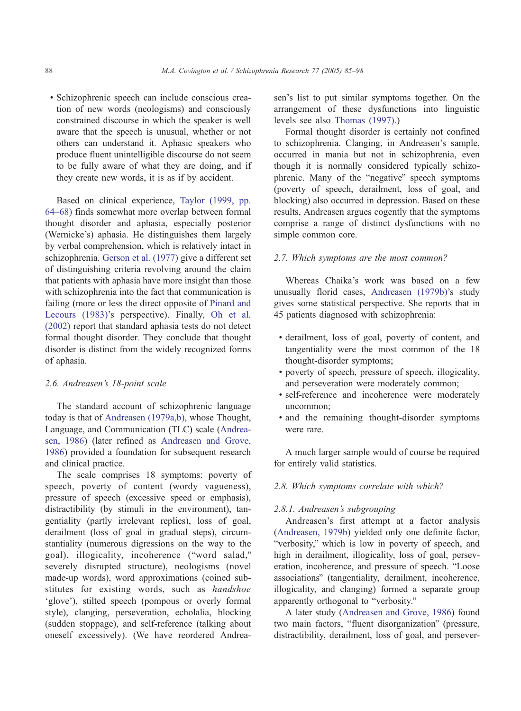! Schizophrenic speech can include conscious creation of new words (neologisms) and consciously constrained discourse in which the speaker is well aware that the speech is unusual, whether or not others can understand it. Aphasic speakers who produce fluent unintelligible discourse do not seem to be fully aware of what they are doing, and if they create new words, it is as if by accident.

Based on clinical experience, [Taylor \(1999, pp.](#page-12-0) 64–68) finds somewhat more overlap between formal thought disorder and aphasia, especially posterior (Wernicke's) aphasia. He distinguishes them largely by verbal comprehension, which is relatively intact in schizophrenia. [Gerson et al. \(1977\)](#page-11-0) give a different set of distinguishing criteria revolving around the claim that patients with aphasia have more insight than those with schizophrenia into the fact that communication is failing (more or less the direct opposite of [Pinard and](#page-12-0) Lecours (1983)'s perspective). Finally, [Oh et al.](#page-12-0) (2002) report that standard aphasia tests do not detect formal thought disorder. They conclude that thought disorder is distinct from the widely recognized forms of aphasia.

#### 2.6. Andreasen's 18-point scale

The standard account of schizophrenic language today is that of [Andreasen \(1979a,b\),](#page-10-0) whose Thought, Language, and Communication (TLC) scale ([Andrea](#page-10-0)sen, 1986) (later refined as [Andreasen and Grove,](#page-10-0) 1986) provided a foundation for subsequent research and clinical practice.

The scale comprises 18 symptoms: poverty of speech, poverty of content (wordy vagueness), pressure of speech (excessive speed or emphasis), distractibility (by stimuli in the environment), tangentiality (partly irrelevant replies), loss of goal, derailment (loss of goal in gradual steps), circumstantiality (numerous digressions on the way to the goal), illogicality, incoherence ("word salad," severely disrupted structure), neologisms (novel made-up words), word approximations (coined substitutes for existing words, such as *handshoe* 'glove'), stilted speech (pompous or overly formal style), clanging, perseveration, echolalia, blocking (sudden stoppage), and self-reference (talking about oneself excessively). (We have reordered Andreasen's list to put similar symptoms together. On the arrangement of these dysfunctions into linguistic levels see also [Thomas \(1997\).](#page-12-0))

Formal thought disorder is certainly not confined to schizophrenia. Clanging, in Andreasen's sample, occurred in mania but not in schizophrenia, even though it is normally considered typically schizophrenic. Many of the "negative" speech symptoms (poverty of speech, derailment, loss of goal, and blocking) also occurred in depression. Based on these results, Andreasen argues cogently that the symptoms comprise a range of distinct dysfunctions with no simple common core.

## 2.7. Which symptoms are the most common?

Whereas Chaika's work was based on a few unusually florid cases, [Andreasen \(1979b\)'](#page-10-0)s study gives some statistical perspective. She reports that in 45 patients diagnosed with schizophrenia:

- ! derailment, loss of goal, poverty of content, and tangentiality were the most common of the 18 thought-disorder symptoms;
- ! poverty of speech, pressure of speech, illogicality, and perseveration were moderately common;
- ! self-reference and incoherence were moderately uncommon;
- and the remaining thought-disorder symptoms were rare.

A much larger sample would of course be required for entirely valid statistics.

## 2.8. Which symptoms correlate with which?

#### 2.8.1. Andreasen's subgrouping

Andreasen's first attempt at a factor analysis ([Andreasen, 1979b\)](#page-10-0) yielded only one definite factor, "verbosity," which is low in poverty of speech, and high in derailment, illogicality, loss of goal, perseveration, incoherence, and pressure of speech. "Loose associations" (tangentiality, derailment, incoherence, illogicality, and clanging) formed a separate group apparently orthogonal to "verbosity."

A later study ([Andreasen and Grove, 1986\)](#page-10-0) found two main factors, "fluent disorganization" (pressure, distractibility, derailment, loss of goal, and persever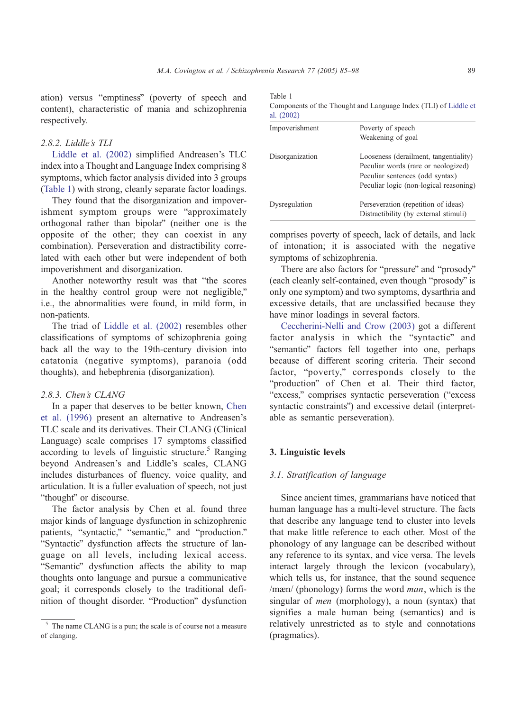ation) versus "emptiness" (poverty of speech and content), characteristic of mania and schizophrenia respectively.

#### 2.8.2. Liddle's TLI

[Liddle et al. \(2002\)](#page-12-0) simplified Andreasen's TLC index into a Thought and Language Index comprising 8 symptoms, which factor analysis divided into 3 groups (Table 1) with strong, cleanly separate factor loadings.

They found that the disorganization and impoverishment symptom groups were "approximately orthogonal rather than bipolar" (neither one is the opposite of the other; they can coexist in any combination). Perseveration and distractibility correlated with each other but were independent of both impoverishment and disorganization.

Another noteworthy result was that "the scores in the healthy control group were not negligible," i.e., the abnormalities were found, in mild form, in non-patients.

The triad of [Liddle et al. \(2002\)](#page-12-0) resembles other classifications of symptoms of schizophrenia going back all the way to the 19th-century division into catatonia (negative symptoms), paranoia (odd thoughts), and hebephrenia (disorganization).

#### 2.8.3. Chen's CLANG

In a paper that deserves to be better known, [Chen](#page-11-0) et al. (1996) present an alternative to Andreasen's TLC scale and its derivatives. Their CLANG (Clinical Language) scale comprises 17 symptoms classified according to levels of linguistic structure.<sup>5</sup> Ranging beyond Andreasen's and Liddle's scales, CLANG includes disturbances of fluency, voice quality, and articulation. It is a fuller evaluation of speech, not just "thought" or discourse.

The factor analysis by Chen et al. found three major kinds of language dysfunction in schizophrenic patients, "syntactic," "semantic," and "production." "Syntactic" dysfunction affects the structure of language on all levels, including lexical access. "Semantic" dysfunction affects the ability to map thoughts onto language and pursue a communicative goal; it corresponds closely to the traditional definition of thought disorder. "Production" dysfunction Table 1 Components of the Thought and Language Index (TLI) of [Liddle et](#page-12-0)  $a_1$ . (2002)

| al. $\angle 0021$ |                                        |
|-------------------|----------------------------------------|
| Impoverishment    | Poverty of speech                      |
|                   | Weakening of goal                      |
| Disorganization   | Looseness (derailment, tangentiality)  |
|                   | Peculiar words (rare or neologized)    |
|                   | Peculiar sentences (odd syntax)        |
|                   | Peculiar logic (non-logical reasoning) |
| Dysregulation     | Perseveration (repetition of ideas)    |
|                   | Distractibility (by external stimuli)  |

comprises poverty of speech, lack of details, and lack of intonation; it is associated with the negative symptoms of schizophrenia.

There are also factors for "pressure" and "prosody" (each cleanly self-contained, even though "prosody" is only one symptom) and two symptoms, dysarthria and excessive details, that are unclassified because they have minor loadings in several factors.

[Ceccherini-Nelli and Crow \(2003\)](#page-10-0) got a different factor analysis in which the "syntactic" and "semantic" factors fell together into one, perhaps because of different scoring criteria. Their second factor, "poverty," corresponds closely to the "production" of Chen et al. Their third factor, "excess," comprises syntactic perseveration ("excess" syntactic constraints") and excessive detail (interpretable as semantic perseveration).

#### 3. Linguistic levels

#### 3.1. Stratification of language

Since ancient times, grammarians have noticed that human language has a multi-level structure. The facts that describe any language tend to cluster into levels that make little reference to each other. Most of the phonology of any language can be described without any reference to its syntax, and vice versa. The levels interact largely through the lexicon (vocabulary), which tells us, for instance, that the sound sequence  $/m\text{cm}$  (phonology) forms the word *man*, which is the singular of men (morphology), a noun (syntax) that signifies a male human being (semantics) and is relatively unrestricted as to style and connotations (pragmatics).

<sup>5</sup> The name CLANG is a pun; the scale is of course not a measure of clanging.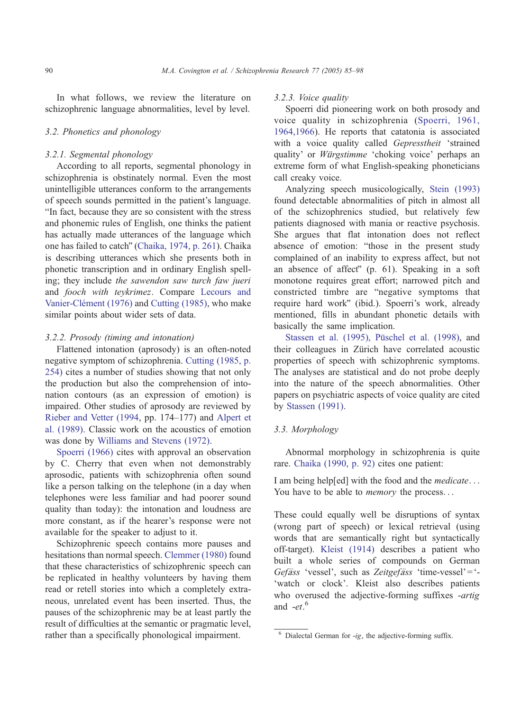In what follows, we review the literature on schizophrenic language abnormalities, level by level.

#### 3.2. Phonetics and phonology

## 3.2.1. Segmental phonology

According to all reports, segmental phonology in schizophrenia is obstinately normal. Even the most unintelligible utterances conform to the arrangements of speech sounds permitted in the patient's language. "In fact, because they are so consistent with the stress and phonemic rules of English, one thinks the patient has actually made utterances of the language which one has failed to catch" ([Chaika, 1974, p. 261\)](#page-11-0). Chaika is describing utterances which she presents both in phonetic transcription and in ordinary English spelling; they include the sawendon saw turch faw jueri and fooch with teykrimez. Compare [Lecours and](#page-12-0) Vanier-Clément (1976) and [Cutting \(1985\),](#page-11-0) who make similar points about wider sets of data.

#### 3.2.2. Prosody (timing and intonation)

Flattened intonation (aprosody) is an often-noted negative symptom of schizophrenia. [Cutting \(1985, p.](#page-11-0) 254) cites a number of studies showing that not only the production but also the comprehension of intonation contours (as an expression of emotion) is impaired. Other studies of aprosody are reviewed by [Rieber and Vetter \(1994,](#page-12-0) pp. 174–177) and [Alpert et](#page-10-0) al. (1989). Classic work on the acoustics of emotion was done by [Williams and Stevens \(1972\).](#page-13-0)

[Spoerri \(1966\)](#page-12-0) cites with approval an observation by C. Cherry that even when not demonstrably aprosodic, patients with schizophrenia often sound like a person talking on the telephone (in a day when telephones were less familiar and had poorer sound quality than today): the intonation and loudness are more constant, as if the hearer's response were not available for the speaker to adjust to it.

Schizophrenic speech contains more pauses and hesitations than normal speech. [Clemmer \(1980\)](#page-11-0) found that these characteristics of schizophrenic speech can be replicated in healthy volunteers by having them read or retell stories into which a completely extraneous, unrelated event has been inserted. Thus, the pauses of the schizophrenic may be at least partly the result of difficulties at the semantic or pragmatic level, rather than a specifically phonological impairment.

#### 3.2.3. Voice quality

Spoerri did pioneering work on both prosody and voice quality in schizophrenia ([Spoerri, 1961,](#page-12-0) 1964,1966). He reports that catatonia is associated with a voice quality called Gepresstheit 'strained quality' or Würgstimme 'choking voice' perhaps an extreme form of what English-speaking phoneticians call creaky voice.

Analyzing speech musicologically, [Stein \(1993\)](#page-12-0) found detectable abnormalities of pitch in almost all of the schizophrenics studied, but relatively few patients diagnosed with mania or reactive psychosis. She argues that flat intonation does not reflect absence of emotion: "those in the present study complained of an inability to express affect, but not an absence of affect"  $(p. 61)$ . Speaking in a soft monotone requires great effort; narrowed pitch and constricted timbre are "negative symptoms that require hard work" (ibid.). Spoerri's work, already mentioned, fills in abundant phonetic details with basically the same implication.

Stassen et al. (1995), Püschel et al. (1998), and their colleagues in Zürich have correlated acoustic properties of speech with schizophrenic symptoms. The analyses are statistical and do not probe deeply into the nature of the speech abnormalities. Other papers on psychiatric aspects of voice quality are cited by [Stassen \(1991\).](#page-12-0)

# 3.3. Morphology

Abnormal morphology in schizophrenia is quite rare. [Chaika \(1990, p. 92\)](#page-11-0) cites one patient:

I am being help[ed] with the food and the *medicate*... You have to be able to *memory* the process...

These could equally well be disruptions of syntax (wrong part of speech) or lexical retrieval (using words that are semantically right but syntactically off-target). [Kleist \(1914\)](#page-11-0) describes a patient who built a whole series of compounds on German Gefäss 'vessel', such as Zeitgefäss 'time-vessel'='-'watch or clock'. Kleist also describes patients who overused the adjective-forming suffixes -artig and  $-et.^6$ 

 $6$  Dialectal German for -ig, the adjective-forming suffix.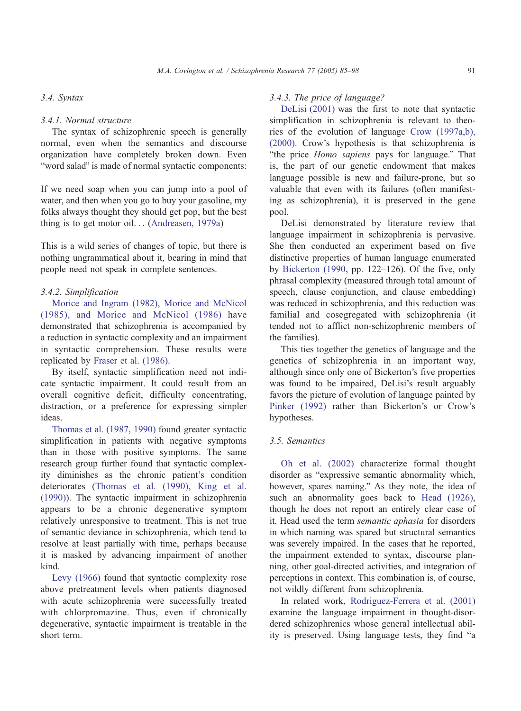## 3.4. Syntax

#### 3.4.1. Normal structure

The syntax of schizophrenic speech is generally normal, even when the semantics and discourse organization have completely broken down. Even "word salad" is made of normal syntactic components:

If we need soap when you can jump into a pool of water, and then when you go to buy your gasoline, my folks always thought they should get pop, but the best thing is to get motor oil... ([Andreasen, 1979a\)](#page-10-0)

This is a wild series of changes of topic, but there is nothing ungrammatical about it, bearing in mind that people need not speak in complete sentences.

## 3.4.2. Simplification

[Morice and Ingram \(1982\), Morice and McNicol](#page-12-0) (1985), and Morice and McNicol (1986) have demonstrated that schizophrenia is accompanied by a reduction in syntactic complexity and an impairment in syntactic comprehension. These results were replicated by [Fraser et al. \(1986\).](#page-11-0)

By itself, syntactic simplification need not indicate syntactic impairment. It could result from an overall cognitive deficit, difficulty concentrating, distraction, or a preference for expressing simpler ideas.

[Thomas et al. \(1987, 1990\)](#page-12-0) found greater syntactic simplification in patients with negative symptoms than in those with positive symptoms. The same research group further found that syntactic complexity diminishes as the chronic patient's condition deteriorates ([Thomas et al. \(1990\), King et al.](#page-12-0) (1990)). The syntactic impairment in schizophrenia appears to be a chronic degenerative symptom relatively unresponsive to treatment. This is not true of semantic deviance in schizophrenia, which tend to resolve at least partially with time, perhaps because it is masked by advancing impairment of another kind.

[Levy \(1966\)](#page-12-0) found that syntactic complexity rose above pretreatment levels when patients diagnosed with acute schizophrenia were successfully treated with chlorpromazine. Thus, even if chronically degenerative, syntactic impairment is treatable in the short term.

## 3.4.3. The price of language?

[DeLisi \(2001\)](#page-11-0) was the first to note that syntactic simplification in schizophrenia is relevant to theories of the evolution of language [Crow \(1997a,b\),](#page-11-0) (2000). Crow's hypothesis is that schizophrenia is "the price Homo sapiens pays for language." That is, the part of our genetic endowment that makes language possible is new and failure-prone, but so valuable that even with its failures (often manifesting as schizophrenia), it is preserved in the gene pool.

DeLisi demonstrated by literature review that language impairment in schizophrenia is pervasive. She then conducted an experiment based on five distinctive properties of human language enumerated by [Bickerton \(1990,](#page-10-0) pp. 122–126). Of the five, only phrasal complexity (measured through total amount of speech, clause conjunction, and clause embedding) was reduced in schizophrenia, and this reduction was familial and cosegregated with schizophrenia (it tended not to afflict non-schizophrenic members of the families).

This ties together the genetics of language and the genetics of schizophrenia in an important way, although since only one of Bickerton's five properties was found to be impaired, DeLisi's result arguably favors the picture of evolution of language painted by [Pinker \(1992\)](#page-12-0) rather than Bickerton's or Crow's hypotheses.

### 3.5. Semantics

[Oh et al. \(2002\)](#page-12-0) characterize formal thought disorder as "expressive semantic abnormality which, however, spares naming." As they note, the idea of such an abnormality goes back to [Head \(1926\),](#page-11-0) though he does not report an entirely clear case of it. Head used the term semantic aphasia for disorders in which naming was spared but structural semantics was severely impaired. In the cases that he reported, the impairment extended to syntax, discourse planning, other goal-directed activities, and integration of perceptions in context. This combination is, of course, not wildly different from schizophrenia.

In related work, [Rodriguez-Ferrera et al. \(2001\)](#page-12-0) examine the language impairment in thought-disordered schizophrenics whose general intellectual ability is preserved. Using language tests, they find "a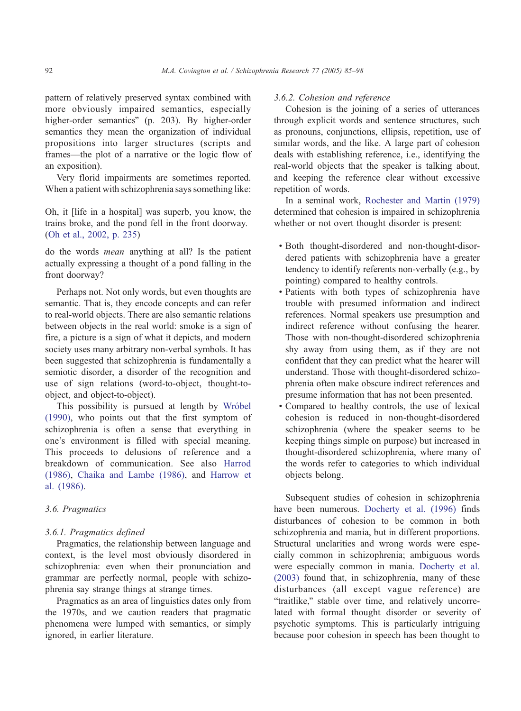pattern of relatively preserved syntax combined with more obviously impaired semantics, especially higher-order semantics" (p. 203). By higher-order semantics they mean the organization of individual propositions into larger structures (scripts and frames—the plot of a narrative or the logic flow of an exposition).

Very florid impairments are sometimes reported. When a patient with schizophrenia says something like:

Oh, it [life in a hospital] was superb, you know, the trains broke, and the pond fell in the front doorway. ([Oh et al., 2002, p. 235\)](#page-12-0)

do the words mean anything at all? Is the patient actually expressing a thought of a pond falling in the front doorway?

Perhaps not. Not only words, but even thoughts are semantic. That is, they encode concepts and can refer to real-world objects. There are also semantic relations between objects in the real world: smoke is a sign of fire, a picture is a sign of what it depicts, and modern society uses many arbitrary non-verbal symbols. It has been suggested that schizophrenia is fundamentally a semiotic disorder, a disorder of the recognition and use of sign relations (word-to-object, thought-toobject, and object-to-object).

This possibility is pursued at length by Wróbel (1990), who points out that the first symptom of schizophrenia is often a sense that everything in one's environment is filled with special meaning. This proceeds to delusions of reference and a breakdown of communication. See also [Harrod](#page-11-0) (1986), [Chaika and Lambe \(1986\),](#page-11-0) and [Harrow et](#page-11-0) al. (1986).

#### 3.6. Pragmatics

#### 3.6.1. Pragmatics defined

Pragmatics, the relationship between language and context, is the level most obviously disordered in schizophrenia: even when their pronunciation and grammar are perfectly normal, people with schizophrenia say strange things at strange times.

Pragmatics as an area of linguistics dates only from the 1970s, and we caution readers that pragmatic phenomena were lumped with semantics, or simply ignored, in earlier literature.

# 3.6.2. Cohesion and reference

Cohesion is the joining of a series of utterances through explicit words and sentence structures, such as pronouns, conjunctions, ellipsis, repetition, use of similar words, and the like. A large part of cohesion deals with establishing reference, i.e., identifying the real-world objects that the speaker is talking about, and keeping the reference clear without excessive repetition of words.

In a seminal work, [Rochester and Martin \(1979\)](#page-12-0) determined that cohesion is impaired in schizophrenia whether or not overt thought disorder is present:

- ! Both thought-disordered and non-thought-disordered patients with schizophrenia have a greater tendency to identify referents non-verbally (e.g., by pointing) compared to healthy controls.
- ! Patients with both types of schizophrenia have trouble with presumed information and indirect references. Normal speakers use presumption and indirect reference without confusing the hearer. Those with non-thought-disordered schizophrenia shy away from using them, as if they are not confident that they can predict what the hearer will understand. Those with thought-disordered schizophrenia often make obscure indirect references and presume information that has not been presented.
- ! Compared to healthy controls, the use of lexical cohesion is reduced in non-thought-disordered schizophrenia (where the speaker seems to be keeping things simple on purpose) but increased in thought-disordered schizophrenia, where many of the words refer to categories to which individual objects belong.

Subsequent studies of cohesion in schizophrenia have been numerous. [Docherty et al. \(1996\)](#page-11-0) finds disturbances of cohesion to be common in both schizophrenia and mania, but in different proportions. Structural unclarities and wrong words were especially common in schizophrenia; ambiguous words were especially common in mania. [Docherty et al.](#page-11-0) (2003) found that, in schizophrenia, many of these disturbances (all except vague reference) are "traitlike," stable over time, and relatively uncorrelated with formal thought disorder or severity of psychotic symptoms. This is particularly intriguing because poor cohesion in speech has been thought to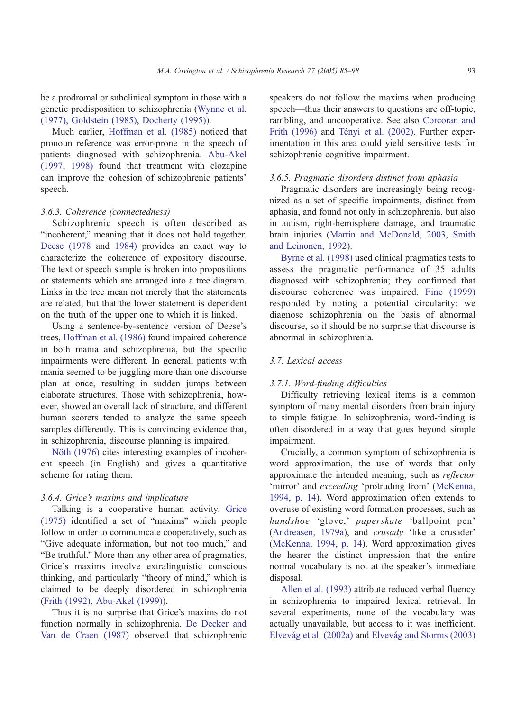be a prodromal or subclinical symptom in those with a genetic predisposition to schizophrenia ([Wynne et al.](#page-13-0) (1977), [Goldstein \(1985\),](#page-11-0) [Docherty \(1995\)\)](#page-11-0).

Much earlier, [Hoffman et al. \(1985\)](#page-11-0) noticed that pronoun reference was error-prone in the speech of patients diagnosed with schizophrenia. [Abu-Akel](#page-10-0) (1997, 1998) found that treatment with clozapine can improve the cohesion of schizophrenic patients' speech.

#### 3.6.3. Coherence (connectedness)

Schizophrenic speech is often described as "incoherent," meaning that it does not hold together. [Deese \(1978](#page-11-0) and [1984\)](#page-11-0) provides an exact way to characterize the coherence of expository discourse. The text or speech sample is broken into propositions or statements which are arranged into a tree diagram. Links in the tree mean not merely that the statements are related, but that the lower statement is dependent on the truth of the upper one to which it is linked.

Using a sentence-by-sentence version of Deese's trees, [Hoffman et al. \(1986\)](#page-11-0) found impaired coherence in both mania and schizophrenia, but the specific impairments were different. In general, patients with mania seemed to be juggling more than one discourse plan at once, resulting in sudden jumps between elaborate structures. Those with schizophrenia, however, showed an overall lack of structure, and different human scorers tended to analyze the same speech samples differently. This is convincing evidence that, in schizophrenia, discourse planning is impaired.

Nöth (1976) cites interesting examples of incoherent speech (in English) and gives a quantitative scheme for rating them.

#### 3.6.4. Grice's maxims and implicature

Talking is a cooperative human activity. [Grice](#page-11-0)  $(1975)$  identified a set of "maxims" which people follow in order to communicate cooperatively, such as "Give adequate information, but not too much," and "Be truthful." More than any other area of pragmatics, Grice's maxims involve extralinguistic conscious thinking, and particularly "theory of mind," which is claimed to be deeply disordered in schizophrenia ([Frith \(1992\),](#page-11-0) [Abu-Akel \(1999\)\)](#page-10-0).

Thus it is no surprise that Grice's maxims do not function normally in schizophrenia. [De Decker and](#page-11-0) Van de Craen (1987) observed that schizophrenic

speakers do not follow the maxims when producing speech—thus their answers to questions are off-topic, rambling, and uncooperative. See also [Corcoran and](#page-11-0) Frith (1996) and Tényi et al. (2002). Further experimentation in this area could yield sensitive tests for schizophrenic cognitive impairment.

## 3.6.5. Pragmatic disorders distinct from aphasia

Pragmatic disorders are increasingly being recognized as a set of specific impairments, distinct from aphasia, and found not only in schizophrenia, but also in autism, right-hemisphere damage, and traumatic brain injuries ([Martin and McDonald, 2003, Smith](#page-12-0) and Leinonen, 1992).

[Byrne et al. \(1998\)](#page-10-0) used clinical pragmatics tests to assess the pragmatic performance of 35 adults diagnosed with schizophrenia; they confirmed that discourse coherence was impaired. [Fine \(1999\)](#page-11-0) responded by noting a potential circularity: we diagnose schizophrenia on the basis of abnormal discourse, so it should be no surprise that discourse is abnormal in schizophrenia.

# 3.7. Lexical access

## 3.7.1. Word-finding difficulties

Difficulty retrieving lexical items is a common symptom of many mental disorders from brain injury to simple fatigue. In schizophrenia, word-finding is often disordered in a way that goes beyond simple impairment.

Crucially, a common symptom of schizophrenia is word approximation, the use of words that only approximate the intended meaning, such as reflector 'mirror' and exceeding 'protruding from' ([McKenna,](#page-12-0) 1994, p. 14). Word approximation often extends to overuse of existing word formation processes, such as handshoe 'glove,' paperskate 'ballpoint pen' ([Andreasen, 1979a\)](#page-10-0), and  $crusady$  'like a crusader' ([McKenna, 1994, p. 14\)](#page-12-0). Word approximation gives the hearer the distinct impression that the entire normal vocabulary is not at the speaker's immediate disposal.

[Allen et al. \(1993\)](#page-10-0) attribute reduced verbal fluency in schizophrenia to impaired lexical retrieval. In several experiments, none of the vocabulary was actually unavailable, but access to it was inefficient. Elvevåg et al. (2002a) and Elvevåg and Storms (2003)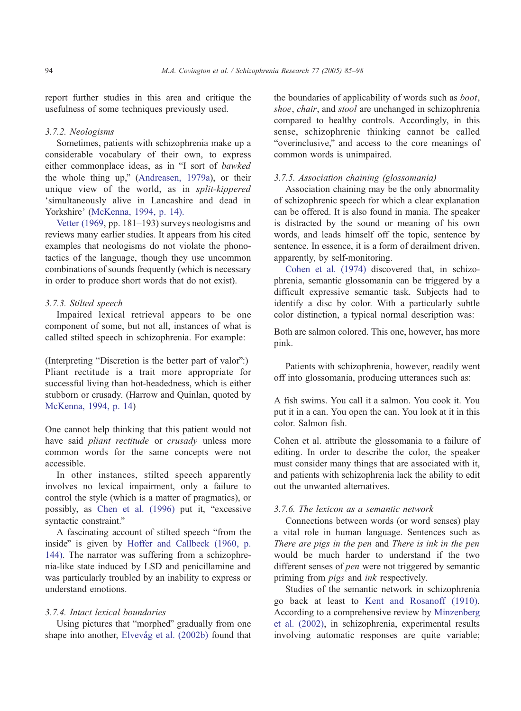report further studies in this area and critique the usefulness of some techniques previously used.

## 3.7.2. Neologisms

Sometimes, patients with schizophrenia make up a considerable vocabulary of their own, to express either commonplace ideas, as in "I sort of bawked the whole thing up," (Andreasen,  $1979a$ ), or their unique view of the world, as in split-kippered 'simultaneously alive in Lancashire and dead in Yorkshire' ([McKenna, 1994, p. 14\).](#page-12-0)

[Vetter \(1969,](#page-13-0) pp. 181–193) surveys neologisms and reviews many earlier studies. It appears from his cited examples that neologisms do not violate the phonotactics of the language, though they use uncommon combinations of sounds frequently (which is necessary in order to produce short words that do not exist).

## 3.7.3. Stilted speech

Impaired lexical retrieval appears to be one component of some, but not all, instances of what is called stilted speech in schizophrenia. For example:

(Interpreting "Discretion is the better part of valor":) Pliant rectitude is a trait more appropriate for successful living than hot-headedness, which is either stubborn or crusady. (Harrow and Quinlan, quoted by [McKenna, 1994, p. 14\)](#page-12-0)

One cannot help thinking that this patient would not have said *pliant rectitude* or *crusady* unless more common words for the same concepts were not accessible.

In other instances, stilted speech apparently involves no lexical impairment, only a failure to control the style (which is a matter of pragmatics), or possibly, as [Chen et al. \(1996\)](#page-11-0) put it, "excessive syntactic constraint."

A fascinating account of stilted speech "from the inside" is given by [Hoffer and Callbeck \(1960, p.](#page-11-0) 144). The narrator was suffering from a schizophrenia-like state induced by LSD and penicillamine and was particularly troubled by an inability to express or understand emotions.

## 3.7.4. Intact lexical boundaries

Using pictures that "morphed" gradually from one shape into another, Elvevåg et al. (2002b) found that the boundaries of applicability of words such as boot, shoe, chair, and stool are unchanged in schizophrenia compared to healthy controls. Accordingly, in this sense, schizophrenic thinking cannot be called "overinclusive," and access to the core meanings of common words is unimpaired.

### 3.7.5. Association chaining (glossomania)

Association chaining may be the only abnormality of schizophrenic speech for which a clear explanation can be offered. It is also found in mania. The speaker is distracted by the sound or meaning of his own words, and leads himself off the topic, sentence by sentence. In essence, it is a form of derailment driven, apparently, by self-monitoring.

[Cohen et al. \(1974\)](#page-11-0) discovered that, in schizophrenia, semantic glossomania can be triggered by a difficult expressive semantic task. Subjects had to identify a disc by color. With a particularly subtle color distinction, a typical normal description was:

Both are salmon colored. This one, however, has more pink.

Patients with schizophrenia, however, readily went off into glossomania, producing utterances such as:

A fish swims. You call it a salmon. You cook it. You put it in a can. You open the can. You look at it in this color. Salmon fish.

Cohen et al. attribute the glossomania to a failure of editing. In order to describe the color, the speaker must consider many things that are associated with it, and patients with schizophrenia lack the ability to edit out the unwanted alternatives.

## 3.7.6. The lexicon as a semantic network

Connections between words (or word senses) play a vital role in human language. Sentences such as There are pigs in the pen and There is ink in the pen would be much harder to understand if the two different senses of *pen* were not triggered by semantic priming from pigs and ink respectively.

Studies of the semantic network in schizophrenia go back at least to [Kent and Rosanoff \(1910\).](#page-11-0) According to a comprehensive review by [Minzenberg](#page-12-0) et al. (2002), in schizophrenia, experimental results involving automatic responses are quite variable;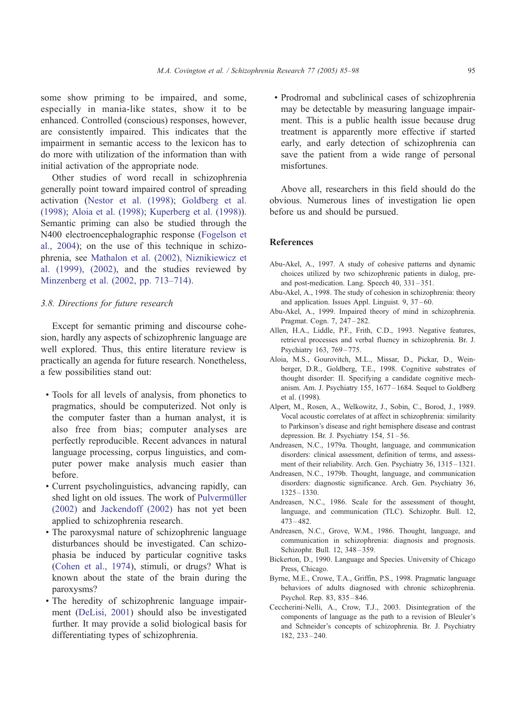<span id="page-10-0"></span>some show priming to be impaired, and some, especially in mania-like states, show it to be enhanced. Controlled (conscious) responses, however, are consistently impaired. This indicates that the impairment in semantic access to the lexicon has to do more with utilization of the information than with initial activation of the appropriate node.

Other studies of word recall in schizophrenia generally point toward impaired control of spreading activation ([Nestor et al. \(1998\);](#page-12-0) [Goldberg et al.](#page-11-0) (1998); Aloia et al. (1998); [Kuperberg et al. \(1998\)\)](#page-12-0). Semantic priming can also be studied through the N400 electroencephalographic response ([Fogelson et](#page-11-0) al., 2004); on the use of this technique in schizophrenia, see [Mathalon et al. \(2002\), Niznikiewicz et](#page-12-0) al. (1999), (2002), and the studies reviewed by [Minzenberg et al. \(2002, pp. 713–714\).](#page-12-0)

## 3.8. Directions for future research

Except for semantic priming and discourse cohesion, hardly any aspects of schizophrenic language are well explored. Thus, this entire literature review is practically an agenda for future research. Nonetheless, a few possibilities stand out:

- ! Tools for all levels of analysis, from phonetics to pragmatics, should be computerized. Not only is the computer faster than a human analyst, it is also free from bias; computer analyses are perfectly reproducible. Recent advances in natural language processing, corpus linguistics, and computer power make analysis much easier than before.
- ! Current psycholinguistics, advancing rapidly, can shed light on old issues. The work of Pulvermüller (2002) and [Jackendoff \(2002\)](#page-11-0) has not yet been applied to schizophrenia research.
- ! The paroxysmal nature of schizophrenic language disturbances should be investigated. Can schizophasia be induced by particular cognitive tasks ([Cohen et al., 1974\)](#page-11-0), stimuli, or drugs? What is known about the state of the brain during the paroxysms?
- ! The heredity of schizophrenic language impairment [\(DeLisi, 2001\)](#page-11-0) should also be investigated further. It may provide a solid biological basis for differentiating types of schizophrenia.

! Prodromal and subclinical cases of schizophrenia may be detectable by measuring language impairment. This is a public health issue because drug treatment is apparently more effective if started early, and early detection of schizophrenia can save the patient from a wide range of personal misfortunes.

Above all, researchers in this field should do the obvious. Numerous lines of investigation lie open before us and should be pursued.

## References

- Abu-Akel, A., 1997. A study of cohesive patterns and dynamic choices utilized by two schizophrenic patients in dialog, preand post-medication. Lang. Speech 40, 331 – 351.
- Abu-Akel, A., 1998. The study of cohesion in schizophrenia: theory and application. Issues Appl. Linguist. 9, 37 – 60.
- Abu-Akel, A., 1999. Impaired theory of mind in schizophrenia. Pragmat. Cogn. 7, 247 – 282.
- Allen, H.A., Liddle, P.F., Frith, C.D., 1993. Negative features, retrieval processes and verbal fluency in schizophrenia. Br. J. Psychiatry 163, 769 – 775.
- Aloia, M.S., Gourovitch, M.L., Missar, D., Pickar, D., Weinberger, D.R., Goldberg, T.E., 1998. Cognitive substrates of thought disorder: II. Specifying a candidate cognitive mechanism. Am. J. Psychiatry 155, 1677 – 1684. Sequel to Goldberg et al. (1998).
- Alpert, M., Rosen, A., Welkowitz, J., Sobin, C., Borod, J., 1989. Vocal acoustic correlates of at affect in schizophrenia: similarity to Parkinson's disease and right hemisphere disease and contrast depression. Br. J. Psychiatry  $154$ ,  $51-56$ .
- Andreasen, N.C., 1979a. Thought, language, and communication disorders: clinical assessment, definition of terms, and assessment of their reliability. Arch. Gen. Psychiatry 36, 1315 – 1321.
- Andreasen, N.C., 1979b. Thought, language, and communication disorders: diagnostic significance. Arch. Gen. Psychiatry 36, 1325 – 1330.
- Andreasen, N.C., 1986. Scale for the assessment of thought, language, and communication (TLC). Schizophr. Bull. 12, 473 – 482.
- Andreasen, N.C., Grove, W.M., 1986. Thought, language, and communication in schizophrenia: diagnosis and prognosis. Schizophr. Bull. 12, 348 – 359.
- Bickerton, D., 1990. Language and Species. University of Chicago Press, Chicago.
- Byrne, M.E., Crowe, T.A., Griffin, P.S., 1998. Pragmatic language behaviors of adults diagnosed with chronic schizophrenia. Psychol. Rep. 83, 835 – 846.
- Ceccherini-Nelli, A., Crow, T.J., 2003. Disintegration of the components of language as the path to a revision of Bleuler's and Schneider's concepts of schizophrenia. Br. J. Psychiatry 182, 233 – 240.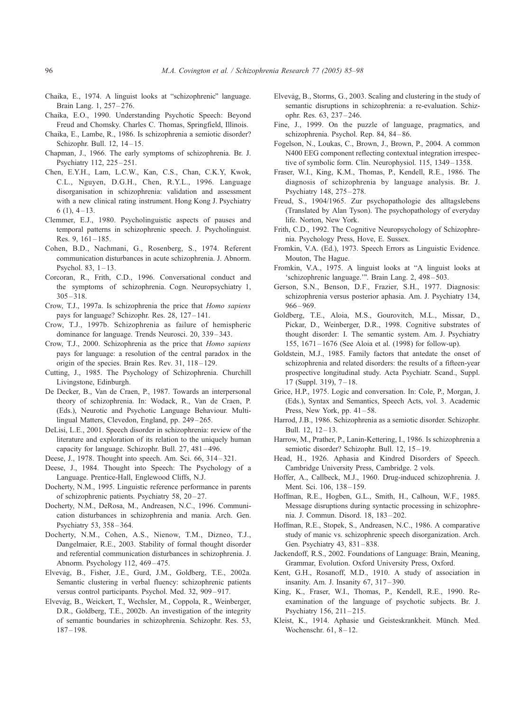- <span id="page-11-0"></span>Chaika, E., 1974. A linguist looks at "schizophrenic" language. Brain Lang. 1, 257-276.
- Chaika, E.O., 1990. Understanding Psychotic Speech: Beyond Freud and Chomsky. Charles C. Thomas, Springfield, Illinois.
- Chaika, E., Lambe, R., 1986. Is schizophrenia a semiotic disorder? Schizophr. Bull. 12, 14-15.
- Chapman, J., 1966. The early symptoms of schizophrenia. Br. J. Psychiatry 112, 225 – 251.
- Chen, E.Y.H., Lam, L.C.W., Kan, C.S., Chan, C.K.Y, Kwok, C.L., Nguyen, D.G.H., Chen, R.Y.L., 1996. Language disorganisation in schizophrenia: validation and assessment with a new clinical rating instrument. Hong Kong J. Psychiatry  $6(1)$ ,  $4-13$ .
- Clemmer, E.J., 1980. Psycholinguistic aspects of pauses and temporal patterns in schizophrenic speech. J. Psycholinguist. Res. 9,  $161 - 185$ .
- Cohen, B.D., Nachmani, G., Rosenberg, S., 1974. Referent communication disturbances in acute schizophrenia. J. Abnorm. Psychol. 83,  $1 - 13$ .
- Corcoran, R., Frith, C.D., 1996. Conversational conduct and the symptoms of schizophrenia. Cogn. Neuropsychiatry 1,  $305 - 318.$
- Crow, T.J., 1997a. Is schizophrenia the price that Homo sapiens pays for language? Schizophr. Res. 28, 127-141.
- Crow, T.J., 1997b. Schizophrenia as failure of hemispheric dominance for language. Trends Neurosci. 20, 339 – 343.
- Crow, T.J., 2000. Schizophrenia as the price that Homo sapiens pays for language: a resolution of the central paradox in the origin of the species. Brain Res. Rev. 31, 118-129.
- Cutting, J., 1985. The Psychology of Schizophrenia. Churchill Livingstone, Edinburgh.
- De Decker, B., Van de Craen, P., 1987. Towards an interpersonal theory of schizophrenia. In: Wodack, R., Van de Craen, P. (Eds.), Neurotic and Psychotic Language Behaviour. Multilingual Matters, Clevedon, England, pp. 249-265.
- DeLisi, L.E., 2001. Speech disorder in schizophrenia: review of the literature and exploration of its relation to the uniquely human capacity for language. Schizophr. Bull. 27, 481 – 496.
- Deese, J., 1978. Thought into speech. Am. Sci. 66, 314 321.
- Deese, J., 1984. Thought into Speech: The Psychology of a Language. Prentice-Hall, Englewood Cliffs, N.J.
- Docherty, N.M., 1995. Linguistic reference performance in parents of schizophrenic patients. Psychiatry 58, 20 – 27.
- Docherty, N.M., DeRosa, M., Andreasen, N.C., 1996. Communication disturbances in schizophrenia and mania. Arch. Gen. Psychiatry 53, 358 – 364.
- Docherty, N.M., Cohen, A.S., Nienow, T.M., Dizneo, T.J., Dangelmaier, R.E., 2003. Stability of formal thought disorder and referential communication disturbances in schizophrenia. J. Abnorm. Psychology 112, 469 – 475.
- Elvevåg, B., Fisher, J.E., Gurd, J.M., Goldberg, T.E., 2002a. Semantic clustering in verbal fluency: schizophrenic patients versus control participants. Psychol. Med. 32, 909 – 917.
- Elvevåg, B., Weickert, T., Wechsler, M., Coppola, R., Weinberger, D.R., Goldberg, T.E., 2002b. An investigation of the integrity of semantic boundaries in schizophrenia. Schizophr. Res. 53,  $187 - 198.$
- Elvevåg, B., Storms, G., 2003. Scaling and clustering in the study of semantic disruptions in schizophrenia: a re-evaluation. Schizophr. Res. 63, 237 – 246.
- Fine, J., 1999. On the puzzle of language, pragmatics, and schizophrenia. Psychol. Rep. 84, 84 – 86.
- Fogelson, N., Loukas, C., Brown, J., Brown, P., 2004. A common N400 EEG component reflecting contextual integration irrespective of symbolic form. Clin. Neurophysiol. 115, 1349-1358.
- Fraser, W.I., King, K.M., Thomas, P., Kendell, R.E., 1986. The diagnosis of schizophrenia by language analysis. Br. J. Psychiatry 148, 275 – 278.
- Freud, S., 1904/1965. Zur psychopathologie des alltagslebens (Translated by Alan Tyson). The psychopathology of everyday life. Norton, New York.
- Frith, C.D., 1992. The Cognitive Neuropsychology of Schizophrenia. Psychology Press, Hove, E. Sussex.
- Fromkin, V.A. (Ed.), 1973. Speech Errors as Linguistic Evidence. Mouton, The Hague.
- Fromkin, V.A., 1975. A linguist looks at "A linguist looks at 'schizophrenic language."". Brain Lang. 2, 498 – 503.
- Gerson, S.N., Benson, D.F., Frazier, S.H., 1977. Diagnosis: schizophrenia versus posterior aphasia. Am. J. Psychiatry 134, 966 – 969.
- Goldberg, T.E., Aloia, M.S., Gourovitch, M.L., Missar, D., Pickar, D., Weinberger, D.R., 1998. Cognitive substrates of thought disorder: I. The semantic system. Am. J. Psychiatry 155, 1671 – 1676 (See Aloia et al. (1998) for follow-up).
- Goldstein, M.J., 1985. Family factors that antedate the onset of schizophrenia and related disorders: the results of a fifteen-year prospective longitudinal study. Acta Psychiatr. Scand., Suppl. 17 (Suppl. 319),  $7-18$ .
- Grice, H.P., 1975. Logic and conversation. In: Cole, P., Morgan, J. (Eds.), Syntax and Semantics, Speech Acts, vol. 3. Academic Press, New York, pp.  $41 - 58$ .
- Harrod, J.B., 1986. Schizophrenia as a semiotic disorder. Schizophr. Bull.  $12, 12 - 13$ .
- Harrow, M., Prather, P., Lanin-Kettering, I., 1986. Is schizophrenia a semiotic disorder? Schizophr. Bull. 12, 15-19.
- Head, H., 1926. Aphasia and Kindred Disorders of Speech. Cambridge University Press, Cambridge. 2 vols.
- Hoffer, A., Callbeck, M.J., 1960. Drug-induced schizophrenia. J. Ment. Sci. 106, 138-159.
- Hoffman, R.E., Hogben, G.L., Smith, H., Calhoun, W.F., 1985. Message disruptions during syntactic processing in schizophrenia. J. Commun. Disord. 18, 183 – 202.
- Hoffman, R.E., Stopek, S., Andreasen, N.C., 1986. A comparative study of manic vs. schizophrenic speech disorganization. Arch. Gen. Psychiatry 43, 831-838.
- Jackendoff, R.S., 2002. Foundations of Language: Brain, Meaning, Grammar, Evolution. Oxford University Press, Oxford.
- Kent, G.H., Rosanoff, M.D., 1910. A study of association in insanity. Am. J. Insanity 67, 317 – 390.
- King, K., Fraser, W.I., Thomas, P., Kendell, R.E., 1990. Reexamination of the language of psychotic subjects. Br. J. Psychiatry 156, 211-215.
- Kleist, K., 1914. Aphasie und Geisteskrankheit. Münch. Med. Wochenschr. 61, 8-12.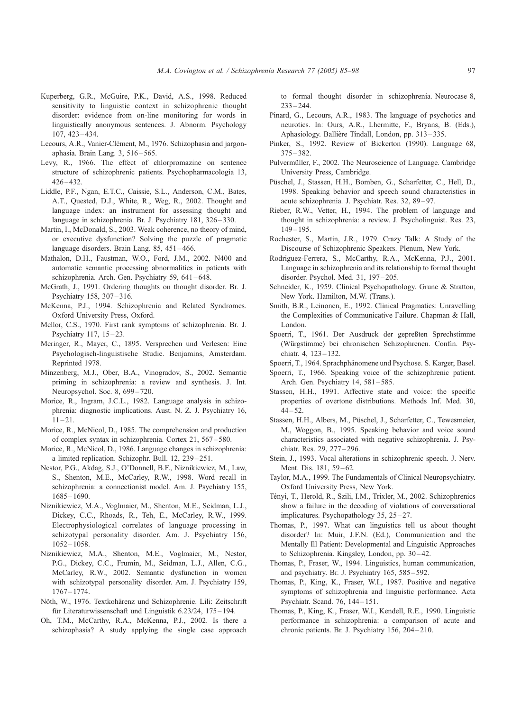- <span id="page-12-0"></span>Kuperberg, G.R., McGuire, P.K., David, A.S., 1998. Reduced sensitivity to linguistic context in schizophrenic thought disorder: evidence from on-line monitoring for words in linguistically anonymous sentences. J. Abnorm. Psychology 107, 423 – 434.
- Lecours, A.R., Vanier-Clément, M., 1976. Schizophasia and jargonaphasia. Brain Lang. 3, 516 – 565.
- Levy, R., 1966. The effect of chlorpromazine on sentence structure of schizophrenic patients. Psychopharmacologia 13, 426 – 432.
- Liddle, P.F., Ngan, E.T.C., Caissie, S.L., Anderson, C.M., Bates, A.T., Quested, D.J., White, R., Weg, R., 2002. Thought and language index: an instrument for assessing thought and language in schizophrenia. Br. J. Psychiatry 181, 326-330.
- Martin, I., McDonald, S., 2003. Weak coherence, no theory of mind, or executive dysfunction? Solving the puzzle of pragmatic language disorders. Brain Lang. 85, 451-466.
- Mathalon, D.H., Faustman, W.O., Ford, J.M., 2002. N400 and automatic semantic processing abnormalities in patients with schizophrenia. Arch. Gen. Psychiatry 59, 641-648.
- McGrath, J., 1991. Ordering thoughts on thought disorder. Br. J. Psychiatry 158, 307 – 316.
- McKenna, P.J., 1994. Schizophrenia and Related Syndromes. Oxford University Press, Oxford.
- Mellor, C.S., 1970. First rank symptoms of schizophrenia. Br. J. Psychiatry 117, 15-23.
- Meringer, R., Mayer, C., 1895. Versprechen und Verlesen: Eine Psychologisch-linguistische Studie. Benjamins, Amsterdam. Reprinted 1978.
- Minzenberg, M.J., Ober, B.A., Vinogradov, S., 2002. Semantic priming in schizophrenia: a review and synthesis. J. Int. Neuropsychol. Soc. 8, 699-720.
- Morice, R., Ingram, J.C.L., 1982. Language analysis in schizophrenia: diagnostic implications. Aust. N. Z. J. Psychiatry 16,  $11 - 21$ .
- Morice, R., McNicol, D., 1985. The comprehension and production of complex syntax in schizophrenia. Cortex 21, 567 – 580.
- Morice, R., McNicol, D., 1986. Language changes in schizophrenia: a limited replication. Schizophr. Bull. 12, 239 – 251.
- Nestor, P.G., Akdag, S.J., O'Donnell, B.F., Niznikiewicz, M., Law, S., Shenton, M.E., McCarley, R.W., 1998. Word recall in schizophrenia: a connectionist model. Am. J. Psychiatry 155, 1685 – 1690.
- Niznikiewicz, M.A., Voglmaier, M., Shenton, M.E., Seidman, L.J., Dickey, C.C., Rhoads, R., Teh, E., McCarley, R.W., 1999. Electrophysiological correlates of language processing in schizotypal personality disorder. Am. J. Psychiatry 156, 1052 – 1058.
- Niznikiewicz, M.A., Shenton, M.E., Voglmaier, M., Nestor, P.G., Dickey, C.C., Frumin, M., Seidman, L.J., Allen, C.G., McCarley, R.W., 2002. Semantic dysfunction in women with schizotypal personality disorder. Am. J. Psychiatry 159, 1767 – 1774.
- Nöth, W., 1976. Textkohärenz und Schizophrenie. Lili: Zeitschrift für Literaturwissenschaft und Linguistik 6.23/24, 175-194.
- Oh, T.M., McCarthy, R.A., McKenna, P.J., 2002. Is there a schizophasia? A study applying the single case approach

to formal thought disorder in schizophrenia. Neurocase 8,  $233 - 244.$ 

- Pinard, G., Lecours, A.R., 1983. The language of psychotics and neurotics. In: Ours, A.R., Lhermitte, F., Bryans, B. (Eds.), Aphasiology. Ballière Tindall, London, pp. 313-335.
- Pinker, S., 1992. Review of Bickerton (1990). Language 68, 375 – 382.
- Pulvermüller, F., 2002. The Neuroscience of Language. Cambridge University Press, Cambridge.
- Püschel, J., Stassen, H.H., Bomben, G., Scharfetter, C., Hell, D., 1998. Speaking behavior and speech sound characteristics in acute schizophrenia. J. Psychiatr. Res. 32, 89 – 97.
- Rieber, R.W., Vetter, H., 1994. The problem of language and thought in schizophrenia: a review. J. Psycholinguist. Res. 23,  $149 - 195$ .
- Rochester, S., Martin, J.R., 1979. Crazy Talk: A Study of the Discourse of Schizophrenic Speakers. Plenum, New York.
- Rodriguez-Ferrera, S., McCarthy, R.A., McKenna, P.J., 2001. Language in schizophrenia and its relationship to formal thought disorder. Psychol. Med. 31, 197-205.
- Schneider, K., 1959. Clinical Psychopathology. Grune & Stratton, New York. Hamilton, M.W. (Trans.).
- Smith, B.R., Leinonen, E., 1992. Clinical Pragmatics: Unravelling the Complexities of Communicative Failure. Chapman & Hall, London.
- Spoerri, T., 1961. Der Ausdruck der gepreßten Sprechstimme (Würgstimme) bei chronischen Schizophrenen. Confin. Psychiatr. 4, 123-132.
- Spoerri, T., 1964. Sprachphänomene und Psychose. S. Karger, Basel.
- Spoerri, T., 1966. Speaking voice of the schizophrenic patient. Arch. Gen. Psychiatry 14, 581-585.
- Stassen, H.H., 1991. Affective state and voice: the specific properties of overtone distributions. Methods Inf. Med. 30,  $44 - 52.$
- Stassen, H.H., Albers, M., Püschel, J., Scharfetter, C., Tewesmeier, M., Woggon, B., 1995. Speaking behavior and voice sound characteristics associated with negative schizophrenia. J. Psychiatr. Res. 29, 277 – 296.
- Stein, J., 1993. Vocal alterations in schizophrenic speech. J. Nerv. Ment. Dis. 181, 59-62.
- Taylor, M.A., 1999. The Fundamentals of Clinical Neuropsychiatry. Oxford University Press, New York.
- Tényi, T., Herold, R., Szili, I.M., Trixler, M., 2002. Schizophrenics show a failure in the decoding of violations of conversational implicatures. Psychopathology 35, 25 – 27.
- Thomas, P., 1997. What can linguistics tell us about thought disorder? In: Muir, J.F.N. (Ed.), Communication and the Mentally Ill Patient: Developmental and Linguistic Approaches to Schizophrenia. Kingsley, London, pp. 30-42.
- Thomas, P., Fraser, W., 1994. Linguistics, human communication, and psychiatry. Br. J. Psychiatry 165, 585 – 592.
- Thomas, P., King, K., Fraser, W.I., 1987. Positive and negative symptoms of schizophrenia and linguistic performance. Acta Psychiatr. Scand. 76, 144 – 151.
- Thomas, P., King, K., Fraser, W.I., Kendell, R.E., 1990. Linguistic performance in schizophrenia: a comparison of acute and chronic patients. Br. J. Psychiatry 156, 204-210.